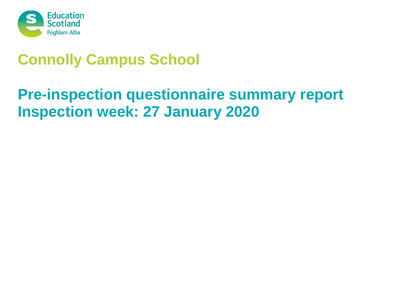

# **Connolly Campus School**

# **Pre-inspection questionnaire summary report Inspection week: 27 January 2020**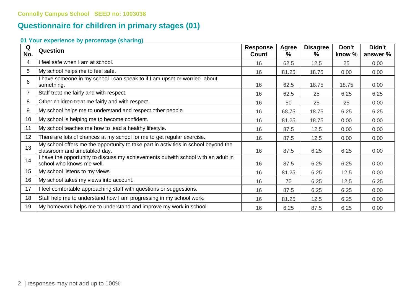## **Questionnaire for children in primary stages (01)**

### **01 Your experience by percentage (sharing)**

| Q<br>No.        | Question                                                                                                             | <b>Response</b><br>Count | <b>Agree</b><br>$\%$ | <b>Disagree</b><br>℅ | Don't<br>know % | Didn't<br>answer % |
|-----------------|----------------------------------------------------------------------------------------------------------------------|--------------------------|----------------------|----------------------|-----------------|--------------------|
| 4               | I feel safe when I am at school.                                                                                     | 16                       | 62.5                 | 12.5                 | 25              | 0.00               |
| 5               | My school helps me to feel safe.                                                                                     | 16                       | 81.25                | 18.75                | 0.00            | 0.00               |
| 6               | I have someone in my school I can speak to if I am upset or worried about<br>something.                              | 16                       | 62.5                 | 18.75                | 18.75           | 0.00               |
|                 | Staff treat me fairly and with respect.                                                                              | 16                       | 62.5                 | 25                   | 6.25            | 6.25               |
| 8               | Other children treat me fairly and with respect.                                                                     | 16                       | 50                   | 25                   | 25              | 0.00               |
| 9               | My school helps me to understand and respect other people.                                                           |                          | 68.75                | 18.75                | 6.25            | 6.25               |
| 10 <sup>°</sup> | My school is helping me to become confident.                                                                         |                          | 81.25                | 18.75                | 0.00            | 0.00               |
| 11              | My school teaches me how to lead a healthy lifestyle.                                                                |                          | 87.5                 | 12.5                 | 0.00            | 0.00               |
| 12              | There are lots of chances at my school for me to get regular exercise.                                               | 16                       | 87.5                 | 12.5                 | 0.00            | 0.00               |
| 13              | My school offers me the opportunity to take part in activities in school beyond the<br>classroom and timetabled day. | 16                       | 87.5                 | 6.25                 | 6.25            | 0.00               |
| 14              | I have the opportunity to discuss my achievements outwith school with an adult in<br>school who knows me well.       | 16                       | 87.5                 | 6.25                 | 6.25            | 0.00               |
| 15              | My school listens to my views.                                                                                       | 16                       | 81.25                | 6.25                 | 12.5            | 0.00               |
| 16              | My school takes my views into account.                                                                               | 16                       | 75                   | 6.25                 | 12.5            | 6.25               |
| 17              | I feel comfortable approaching staff with questions or suggestions.                                                  | 16                       | 87.5                 | 6.25                 | 6.25            | 0.00               |
| 18              | Staff help me to understand how I am progressing in my school work.                                                  | 16                       | 81.25                | 12.5                 | 6.25            | 0.00               |
| 19              | My homework helps me to understand and improve my work in school.                                                    | 16                       | 6.25                 | 87.5                 | 6.25            | 0.00               |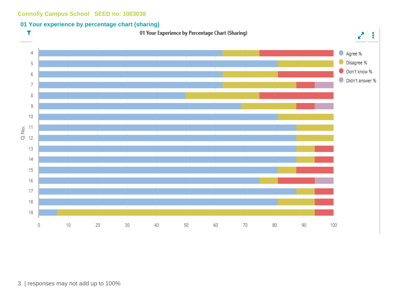#### **01 Your experience by percentage chart (sharing)**

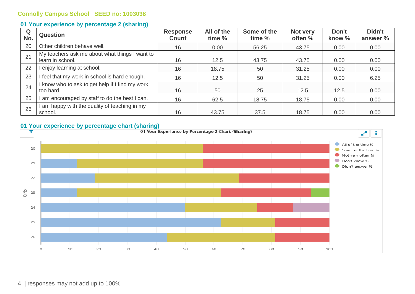#### **01 Your experience by percentage 2 (sharing)**

| Q<br>No. | <b>Question</b>                                                    | <b>Response</b><br><b>Count</b> | All of the<br>time % | Some of the<br>time % | Not very<br>often % | Don't<br>know % | Didn't<br>answer % |
|----------|--------------------------------------------------------------------|---------------------------------|----------------------|-----------------------|---------------------|-----------------|--------------------|
| 20       | Other children behave well.                                        | 16                              | 0.00                 | 56.25                 | 43.75               | 0.00            | 0.00               |
| 21       | My teachers ask me about what things I want to<br>learn in school. | 16                              | 12.5                 | 43.75                 | 43.75               | 0.00            | 0.00               |
| 22       | I enjoy learning at school.                                        | 16                              | 18.75                | 50                    | 31.25               | 0.00            | 0.00               |
| 23       | I feel that my work in school is hard enough.                      | 16                              | 12.5                 | 50                    | 31.25               | 0.00            | 6.25               |
| 24       | I know who to ask to get help if I find my work<br>too hard.       | 16                              | 50                   | 25                    | 12.5                | 12.5            | 0.00               |
| 25       | I am encouraged by staff to do the best I can.                     | 16                              | 62.5                 | 18.75                 | 18.75               | 0.00            | 0.00               |
| 26       | am happy with the quality of teaching in my<br>school.             | 16                              | 43.75                | 37.5                  | 18.75               | 0.00            | 0.00               |



4 | responses may not add up to 100%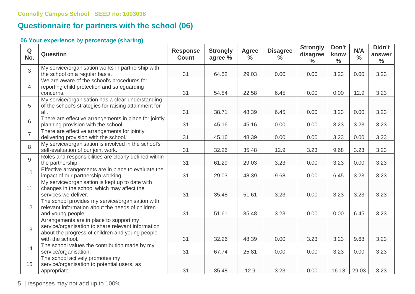## **Questionnaire for partners with the school (06)**

### **06 Your experience by percentage (sharing)**

| $\mathbf Q$<br>No. | Question                                                                                                                                                             | <b>Response</b><br><b>Count</b> | <b>Strongly</b><br>agree % | <b>Agree</b><br>$\%$ | <b>Disagree</b><br>$\frac{6}{6}$ | <b>Strongly</b><br>disagree<br>$\frac{0}{0}$ | Don't<br>know<br>$\frac{0}{0}$ | N/A<br>$\frac{0}{0}$ | Didn't<br>answer<br>$\frac{6}{6}$ |
|--------------------|----------------------------------------------------------------------------------------------------------------------------------------------------------------------|---------------------------------|----------------------------|----------------------|----------------------------------|----------------------------------------------|--------------------------------|----------------------|-----------------------------------|
| 3                  | My service/organisation works in partnership with<br>the school on a regular basis.                                                                                  | 31                              | 64.52                      | 29.03                | 0.00                             | 0.00                                         | 3.23                           | 0.00                 | 3.23                              |
| $\overline{4}$     | We are aware of the school's procedures for<br>reporting child protection and safeguarding<br>concerns.                                                              | 31                              | 54.84                      | 22.58                | 6.45                             | 0.00                                         | 0.00                           | 12.9                 | 3.23                              |
| 5                  | My service/organisation has a clear understanding<br>of the school's strategies for raising attainment for<br>all.                                                   | 31                              | 38.71                      | 48.39                | 6.45                             | 0.00                                         | 3.23                           | 0.00                 | 3.23                              |
| 6                  | There are effective arrangements in place for jointly<br>planning provision with the school.                                                                         | 31                              | 45.16                      | 45.16                | 0.00                             | 0.00                                         | 3.23                           | 3.23                 | 3.23                              |
| $\overline{7}$     | There are effective arrangements for jointly<br>delivering provision with the school.                                                                                | 31                              | 45.16                      | 48.39                | 0.00                             | 0.00                                         | 3.23                           | 0.00                 | 3.23                              |
| 8                  | My service/organisation is involved in the school's<br>self-evaluation of our joint work.                                                                            | 31                              | 32.26                      | 35.48                | 12.9                             | 3.23                                         | 9.68                           | 3.23                 | 3.23                              |
| 9                  | Roles and responsibilities are clearly defined within<br>the partnership.                                                                                            | 31                              | 61.29                      | 29.03                | 3.23                             | 0.00                                         | 3.23                           | 0.00                 | 3.23                              |
| 10                 | Effective arrangements are in place to evaluate the<br>impact of our partnership working.                                                                            | 31                              | 29.03                      | 48.39                | 9.68                             | 0.00                                         | 6.45                           | 3.23                 | 3.23                              |
| 11                 | My service/organisation is kept up to date with<br>changes in the school which may affect the<br>services we deliver.                                                | 31                              | 35.48                      | 51.61                | 3.23                             | 0.00                                         | 3.23                           | 3.23                 | 3.23                              |
| 12                 | The school provides my service/organisation with<br>relevant information about the needs of children<br>and young people.                                            | 31                              | 51.61                      | 35.48                | 3.23                             | 0.00                                         | 0.00                           | 6.45                 | 3.23                              |
| 13                 | Arrangements are in place to support my<br>service/organisation to share relevant information<br>about the progress of children and young people<br>with the school. | 31                              | 32.26                      | 48.39                | 0.00                             | 3.23                                         | 3.23                           | 9.68                 | 3.23                              |
| 14                 | The school values the contribution made by my<br>service/organisation.                                                                                               | 31                              | 67.74                      | 25.81                | 0.00                             | 0.00                                         | 3.23                           | 0.00                 | 3.23                              |
| 15                 | The school actively promotes my<br>service/organisation to potential users, as<br>appropriate.                                                                       | 31                              | 35.48                      | 12.9                 | 3.23                             | 0.00                                         | 16.13                          | 29.03                | 3.23                              |

5 | responses may not add up to 100%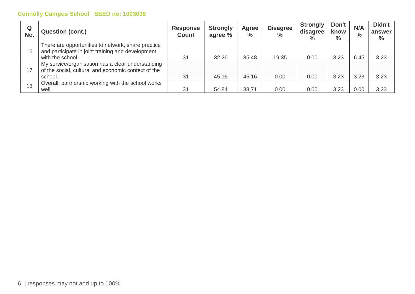| Q<br>No. | <b>Question (cont.)</b>                                                                                                     | <b>Response</b><br><b>Count</b> | <b>Strongly</b><br>agree % | Agree<br>$\frac{6}{6}$ | <b>Disagree</b><br>$\frac{9}{6}$ | Strongly<br>disagree<br>$\%$ | Don't<br>know<br>$\%$ | N/A<br>$\frac{0}{0}$ | Didn't<br>answer<br>$\%$ |
|----------|-----------------------------------------------------------------------------------------------------------------------------|---------------------------------|----------------------------|------------------------|----------------------------------|------------------------------|-----------------------|----------------------|--------------------------|
| 16       | There are opportunities to network, share practice<br>and participate in joint training and development<br>with the school. | 31                              | 32.26                      | 35.48                  | 19.35                            | 0.00                         | 3.23                  | 6.45                 | 3.23                     |
| 17       | My service/organisation has a clear understanding<br>of the social, cultural and economic context of the<br>school.         | 31                              | 45.16                      | 45.16                  | 0.00                             | 0.00                         | 3.23                  | 3.23                 | 3.23                     |
| 18       | Overall, partnership working with the school works<br>well.                                                                 | 31                              | 54.84                      | 38.71                  | 0.00                             | 0.00                         | 3.23                  | 0.00                 | 3.23                     |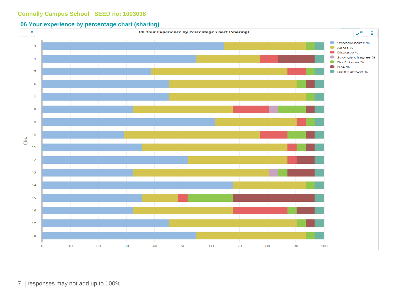#### **06 Your experience by percentage chart (sharing)**



7 | responses may not add up to 100%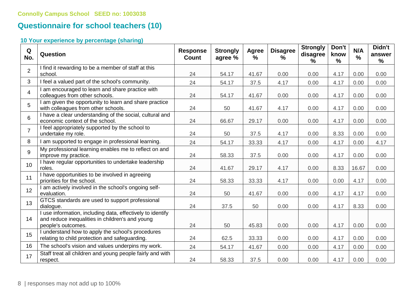## **Questionnaire for school teachers (10)**

### **10 Your experience by percentage (sharing)**

| Q<br>No.        | <b>Question</b>                                                                                                                     | <b>Response</b><br><b>Count</b> | <b>Strongly</b><br>agree % | Agree<br>$\frac{9}{6}$ | <b>Disagree</b><br>$\%$ | <b>Strongly</b><br>disagree<br>$\frac{9}{6}$ | Don't<br>know<br>$\frac{9}{6}$ | N/A<br>$\frac{0}{0}$ | Didn't<br>answer<br>% |
|-----------------|-------------------------------------------------------------------------------------------------------------------------------------|---------------------------------|----------------------------|------------------------|-------------------------|----------------------------------------------|--------------------------------|----------------------|-----------------------|
| $\overline{2}$  | I find it rewarding to be a member of staff at this<br>school.                                                                      | 24                              | 54.17                      | 41.67                  | 0.00                    | 0.00                                         | 4.17                           | 0.00                 | 0.00                  |
| 3               | I feel a valued part of the school's community.                                                                                     | 24                              | 54.17                      | 37.5                   | 4.17                    | 0.00                                         | 4.17                           | 0.00                 | 0.00                  |
| $\overline{4}$  | I am encouraged to learn and share practice with<br>colleagues from other schools.                                                  | 24                              | 54.17                      | 41.67                  | 0.00                    | 0.00                                         | 4.17                           | 0.00                 | 0.00                  |
| 5               | I am given the opportunity to learn and share practice<br>with colleagues from other schools.                                       | 24                              | 50                         | 41.67                  | 4.17                    | 0.00                                         | 4.17                           | 0.00                 | 0.00                  |
| 6               | I have a clear understanding of the social, cultural and<br>economic context of the school.                                         | 24                              | 66.67                      | 29.17                  | 0.00                    | 0.00                                         | 4.17                           | 0.00                 | 0.00                  |
| $\overline{7}$  | I feel appropriately supported by the school to<br>undertake my role.                                                               | 24                              | 50                         | 37.5                   | 4.17                    | 0.00                                         | 8.33                           | 0.00                 | 0.00                  |
| 8               | I am supported to engage in professional learning.                                                                                  | 24                              | 54.17                      | 33.33                  | 4.17                    | 0.00                                         | 4.17                           | 0.00                 | 4.17                  |
| 9               | My professional learning enables me to reflect on and<br>improve my practice.                                                       | 24                              | 58.33                      | 37.5                   | 0.00                    | 0.00                                         | 4.17                           | 0.00                 | 0.00                  |
| 10 <sup>°</sup> | I have regular opportunities to undertake leadership<br>roles.                                                                      | 24                              | 41.67                      | 29.17                  | 4.17                    | 0.00                                         | 8.33                           | 16.67                | 0.00                  |
| 11              | I have opportunities to be involved in agreeing<br>priorities for the school.                                                       | 24                              | 58.33                      | 33.33                  | 4.17                    | 0.00                                         | 0.00                           | 4.17                 | 0.00                  |
| 12              | I am actively involved in the school's ongoing self-<br>evaluation.                                                                 | 24                              | 50                         | 41.67                  | 0.00                    | 0.00                                         | 4.17                           | 4.17                 | 0.00                  |
| 13              | GTCS standards are used to support professional<br>dialogue.                                                                        | 24                              | 37.5                       | 50                     | 0.00                    | 0.00                                         | 4.17                           | 8.33                 | 0.00                  |
| 14              | I use information, including data, effectively to identify<br>and reduce inequalities in children's and young<br>people's outcomes. | 24                              | 50                         | 45.83                  | 0.00                    | 0.00                                         | 4.17                           | 0.00                 | 0.00                  |
| 15              | I understand how to apply the school's procedures<br>relating to child protection and safeguarding.                                 | 24                              | 62.5                       | 33.33                  | 0.00                    | 0.00                                         | 4.17                           | 0.00                 | 0.00                  |
| 16              | The school's vision and values underpins my work.                                                                                   | 24                              | 54.17                      | 41.67                  | 0.00                    | 0.00                                         | 4.17                           | 0.00                 | 0.00                  |
| 17              | Staff treat all children and young people fairly and with<br>respect.                                                               | 24                              | 58.33                      | 37.5                   | 0.00                    | 0.00                                         | 4.17                           | 0.00                 | 0.00                  |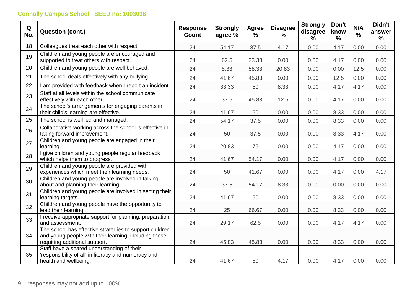| Q<br>No. | <b>Question (cont.)</b>                                                                                                                           | <b>Response</b><br><b>Count</b> | <b>Strongly</b><br>agree % | Agree<br>$\%$ | <b>Disagree</b><br>$\%$ | <b>Strongly</b><br>disagree<br>% | Don't<br>know<br>% | N/A<br>$\frac{0}{0}$ | Didn't<br>answer<br>% |
|----------|---------------------------------------------------------------------------------------------------------------------------------------------------|---------------------------------|----------------------------|---------------|-------------------------|----------------------------------|--------------------|----------------------|-----------------------|
| 18       | Colleagues treat each other with respect.                                                                                                         | 24                              | 54.17                      | 37.5          | 4.17                    | 0.00                             | 4.17               | 0.00                 | 0.00                  |
| 19       | Children and young people are encouraged and<br>supported to treat others with respect.                                                           | 24                              | 62.5                       | 33.33         | 0.00                    | 0.00                             | 4.17               | 0.00                 | 0.00                  |
| 20       | Children and young people are well behaved.                                                                                                       | 24                              | 8.33                       | 58.33         | 20.83                   | 0.00                             | 0.00               | 12.5                 | 0.00                  |
| 21       | The school deals effectively with any bullying.                                                                                                   | 24                              | 41.67                      | 45.83         | 0.00                    | 0.00                             | 12.5               | 0.00                 | 0.00                  |
| 22       | I am provided with feedback when I report an incident.                                                                                            | 24                              | 33.33                      | 50            | 8.33                    | 0.00                             | 4.17               | 4.17                 | 0.00                  |
| 23       | Staff at all levels within the school communicate<br>effectively with each other.                                                                 | 24                              | 37.5                       | 45.83         | 12.5                    | 0.00                             | 4.17               | 0.00                 | 0.00                  |
| 24       | The school's arrangements for engaging parents in<br>their child's learning are effective.                                                        | 24                              | 41.67                      | 50            | 0.00                    | 0.00                             | 8.33               | 0.00                 | 0.00                  |
| 25       | The school is well led and managed.                                                                                                               | 24                              | 54.17                      | 37.5          | 0.00                    | 0.00                             | 8.33               | 0.00                 | 0.00                  |
| 26       | Collaborative working across the school is effective in<br>taking forward improvement.                                                            | 24                              | 50                         | 37.5          | 0.00                    | 0.00                             | 8.33               | 4.17                 | 0.00                  |
| 27       | Children and young people are engaged in their<br>learning.                                                                                       | 24                              | 20.83                      | 75            | 0.00                    | 0.00                             | 4.17               | 0.00                 | 0.00                  |
| 28       | I give children and young people regular feedback<br>which helps them to progress.                                                                | 24                              | 41.67                      | 54.17         | 0.00                    | 0.00                             | 4.17               | 0.00                 | 0.00                  |
| 29       | Children and young people are provided with<br>experiences which meet their learning needs.                                                       | 24                              | 50                         | 41.67         | 0.00                    | 0.00                             | 4.17               | 0.00                 | 4.17                  |
| 30       | Children and young people are involved in talking<br>about and planning their learning.                                                           | 24                              | 37.5                       | 54.17         | 8.33                    | 0.00                             | 0.00               | 0.00                 | 0.00                  |
| 31       | Children and young people are involved in setting their<br>learning targets.                                                                      | 24                              | 41.67                      | 50            | 0.00                    | 0.00                             | 8.33               | 0.00                 | 0.00                  |
| 32       | Children and young people have the opportunity to<br>lead their learning.                                                                         | 24                              | 25                         | 66.67         | 0.00                    | 0.00                             | 8.33               | 0.00                 | 0.00                  |
| 33       | I receive appropriate support for planning, preparation<br>and assessment.                                                                        | 24                              | 29.17                      | 62.5          | 0.00                    | 0.00                             | 4.17               | 4.17                 | 0.00                  |
| 34       | The school has effective strategies to support children<br>and young people with their learning, including those<br>requiring additional support. | 24                              | 45.83                      | 45.83         | 0.00                    | 0.00                             | 8.33               | 0.00                 | 0.00                  |
| 35       | Staff have a shared understanding of their<br>'responsibility of all' in literacy and numeracy and<br>health and wellbeing.                       | 24                              | 41.67                      | 50            | 4.17                    | 0.00                             | 4.17               | 0.00                 | 0.00                  |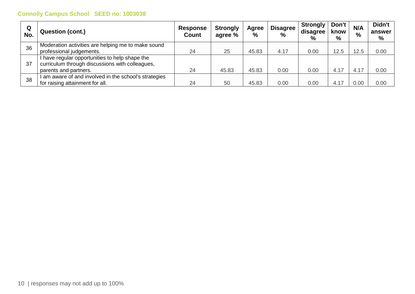| Q<br>No. | <b>Question (cont.)</b>                                                                                                    | <b>Response</b><br><b>Count</b> | <b>Strongly</b><br>agree % | Agree<br>$\%$ | <b>Disagree</b><br>$\frac{0}{0}$ | <b>Strongly</b><br>disagree<br>$\frac{0}{0}$ | Don't<br>know<br>$\%$ | N/A<br>$\%$ | Didn't<br>answer<br>% |
|----------|----------------------------------------------------------------------------------------------------------------------------|---------------------------------|----------------------------|---------------|----------------------------------|----------------------------------------------|-----------------------|-------------|-----------------------|
| 36       | Moderation activities are helping me to make sound<br>professional judgements.                                             | 24                              | 25                         | 45.83         | 4.17                             | 0.00                                         | 12.5                  | 12.5        | 0.00                  |
| 37       | I have regular opportunities to help shape the<br>curriculum through discussions with colleagues,<br>parents and partners. | 24                              | 45.83                      | 45.83         | 0.00                             | 0.00                                         | 4.17                  | 4.17        | 0.00                  |
| 38       | I am aware of and involved in the school's strategies<br>for raising attainment for all.                                   | 24                              | 50                         | 45.83         | 0.00                             | 0.00                                         | 4.17                  | 0.00        | 0.00                  |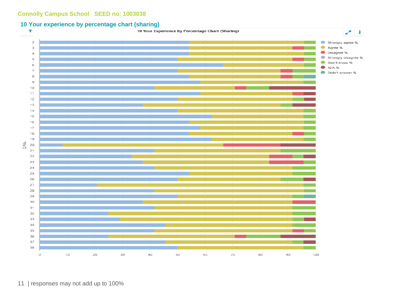#### **10 Your experience by percentage chart (sharing)**

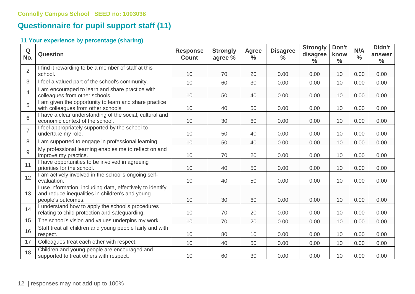## **Questionnaire for pupil support staff (11)**

### **11 Your experience by percentage (sharing)**

| Q<br>No.       | Question                                                                                                                            | <b>Response</b><br><b>Count</b> | <b>Strongly</b><br>agree % | <b>Agree</b><br>$\frac{6}{6}$ | <b>Disagree</b><br>$\frac{9}{6}$ | <b>Strongly</b><br>disagree<br>$\frac{0}{0}$ | Don't<br>know<br>$\frac{0}{0}$ | N/A<br>$\frac{0}{0}$ | Didn't<br>answer<br>$\frac{0}{0}$ |
|----------------|-------------------------------------------------------------------------------------------------------------------------------------|---------------------------------|----------------------------|-------------------------------|----------------------------------|----------------------------------------------|--------------------------------|----------------------|-----------------------------------|
| $\overline{2}$ | I find it rewarding to be a member of staff at this<br>school.                                                                      | 10                              | 70                         | 20                            | 0.00                             | 0.00                                         | 10                             | 0.00                 | 0.00                              |
| 3              | I feel a valued part of the school's community.                                                                                     | 10                              | 60                         | 30                            | 0.00                             | 0.00                                         | 10                             | 0.00                 | 0.00                              |
| 4              | I am encouraged to learn and share practice with<br>colleagues from other schools.                                                  | 10                              | 50                         | 40                            | 0.00                             | 0.00                                         | 10                             | 0.00                 | 0.00                              |
| 5              | I am given the opportunity to learn and share practice<br>with colleagues from other schools.                                       | 10                              | 40                         | 50                            | 0.00                             | 0.00                                         | 10                             | 0.00                 | 0.00                              |
| 6              | I have a clear understanding of the social, cultural and<br>economic context of the school.                                         | 10                              | 30                         | 60                            | 0.00                             | 0.00                                         | 10                             | 0.00                 | 0.00                              |
| $\overline{7}$ | I feel appropriately supported by the school to<br>undertake my role.                                                               | 10                              | 50                         | 40                            | 0.00                             | 0.00                                         | 10                             | 0.00                 | 0.00                              |
| 8              | I am supported to engage in professional learning.                                                                                  | 10                              | 50                         | 40                            | 0.00                             | 0.00                                         | 10                             | 0.00                 | 0.00                              |
| 9              | My professional learning enables me to reflect on and<br>improve my practice.                                                       | 10                              | 70                         | 20                            | 0.00                             | 0.00                                         | 10                             | 0.00                 | 0.00                              |
| 11             | I have opportunities to be involved in agreeing<br>priorities for the school.                                                       | 10                              | 40                         | 50                            | 0.00                             | 0.00                                         | 10                             | 0.00                 | 0.00                              |
| 12             | I am actively involved in the school's ongoing self-<br>evaluation.                                                                 | 10                              | 40                         | 50                            | 0.00                             | 0.00                                         | 10                             | 0.00                 | 0.00                              |
| 13             | I use information, including data, effectively to identify<br>and reduce inequalities in children's and young<br>people's outcomes. | 10                              | 30                         | 60                            | 0.00                             | 0.00                                         | 10                             | 0.00                 | 0.00                              |
| 14             | I understand how to apply the school's procedures<br>relating to child protection and safeguarding.                                 | 10                              | 70                         | 20                            | 0.00                             | 0.00                                         | 10                             | 0.00                 | 0.00                              |
| 15             | The school's vision and values underpins my work.                                                                                   | 10                              | 70                         | 20                            | 0.00                             | 0.00                                         | 10                             | 0.00                 | 0.00                              |
| 16             | Staff treat all children and young people fairly and with<br>respect.                                                               | 10                              | 80                         | 10                            | 0.00                             | 0.00                                         | 10                             | 0.00                 | 0.00                              |
| 17             | Colleagues treat each other with respect.                                                                                           | 10                              | 40                         | 50                            | 0.00                             | 0.00                                         | 10                             | 0.00                 | 0.00                              |
| 18             | Children and young people are encouraged and<br>supported to treat others with respect.                                             | 10                              | 60                         | 30                            | 0.00                             | 0.00                                         | 10                             | 0.00                 | 0.00                              |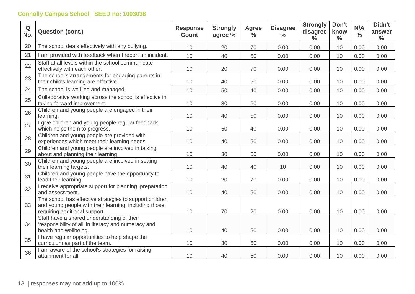| Q<br>No. | <b>Question (cont.)</b>                                                                                                                           | <b>Response</b><br><b>Count</b> | <b>Strongly</b><br>agree % | <b>Agree</b><br>$\frac{0}{0}$ | <b>Disagree</b><br>$\frac{0}{0}$ | <b>Strongly</b><br>disagree<br>$\frac{0}{0}$ | Don't<br>know<br>$\frac{0}{0}$ | N/A<br>$\frac{0}{0}$ | Didn't<br>answer<br>$\frac{0}{0}$ |
|----------|---------------------------------------------------------------------------------------------------------------------------------------------------|---------------------------------|----------------------------|-------------------------------|----------------------------------|----------------------------------------------|--------------------------------|----------------------|-----------------------------------|
| 20       | The school deals effectively with any bullying.                                                                                                   | 10                              | 20                         | 70                            | 0.00                             | 0.00                                         | 10                             | 0.00                 | 0.00                              |
| 21       | I am provided with feedback when I report an incident.                                                                                            | 10                              | 40                         | 50                            | 0.00                             | 0.00                                         | 10                             | 0.00                 | 0.00                              |
| 22       | Staff at all levels within the school communicate<br>effectively with each other.                                                                 | 10                              | 20                         | 70                            | 0.00                             | 0.00                                         | 10                             | 0.00                 | 0.00                              |
| 23       | The school's arrangements for engaging parents in<br>their child's learning are effective.                                                        | 10                              | 40                         | 50                            | 0.00                             | 0.00                                         | 10                             | 0.00                 | 0.00                              |
| 24       | The school is well led and managed.                                                                                                               | 10                              | 50                         | 40                            | 0.00                             | 0.00                                         | 10                             | 0.00                 | 0.00                              |
| 25       | Collaborative working across the school is effective in<br>taking forward improvement.                                                            | 10                              | 30                         | 60                            | 0.00                             | 0.00                                         | 10                             | 0.00                 | 0.00                              |
| 26       | Children and young people are engaged in their<br>learning.                                                                                       | 10                              | 40                         | 50                            | 0.00                             | 0.00                                         | 10                             | 0.00                 | 0.00                              |
| 27       | I give children and young people regular feedback<br>which helps them to progress.                                                                | 10                              | 50                         | 40                            | 0.00                             | 0.00                                         | 10                             | 0.00                 | 0.00                              |
| 28       | Children and young people are provided with<br>experiences which meet their learning needs.                                                       | 10                              | 40                         | 50                            | 0.00                             | 0.00                                         | 10                             | 0.00                 | 0.00                              |
| 29       | Children and young people are involved in talking<br>about and planning their learning.                                                           | 10                              | 30                         | 60                            | 0.00                             | 0.00                                         | 10                             | 0.00                 | 0.00                              |
| 30       | Children and young people are involved in setting<br>their learning targets.                                                                      | 10                              | 40                         | 40                            | 10                               | 0.00                                         | 10                             | 0.00                 | 0.00                              |
| 31       | Children and young people have the opportunity to<br>lead their learning.                                                                         | 10                              | 20                         | 70                            | 0.00                             | 0.00                                         | 10                             | 0.00                 | 0.00                              |
| 32       | I receive appropriate support for planning, preparation<br>and assessment.                                                                        | 10                              | 40                         | 50                            | 0.00                             | 0.00                                         | 10                             | 0.00                 | 0.00                              |
| 33       | The school has effective strategies to support children<br>and young people with their learning, including those<br>requiring additional support. | 10                              | 70                         | 20                            | 0.00                             | 0.00                                         | 10                             | 0.00                 | 0.00                              |
| 34       | Staff have a shared understanding of their<br>'responsibility of all' in literacy and numeracy and<br>health and wellbeing.                       | 10                              | 40                         | 50                            | 0.00                             | 0.00                                         | 10                             | 0.00                 | 0.00                              |
| 35       | I have regular opportunities to help shape the<br>curriculum as part of the team.                                                                 | 10                              | 30                         | 60                            | 0.00                             | 0.00                                         | 10                             | 0.00                 | 0.00                              |
| 36       | I am aware of the school's strategies for raising<br>attainment for all.                                                                          | 10                              | 40                         | 50                            | 0.00                             | 0.00                                         | 10                             | 0.00                 | 0.00                              |